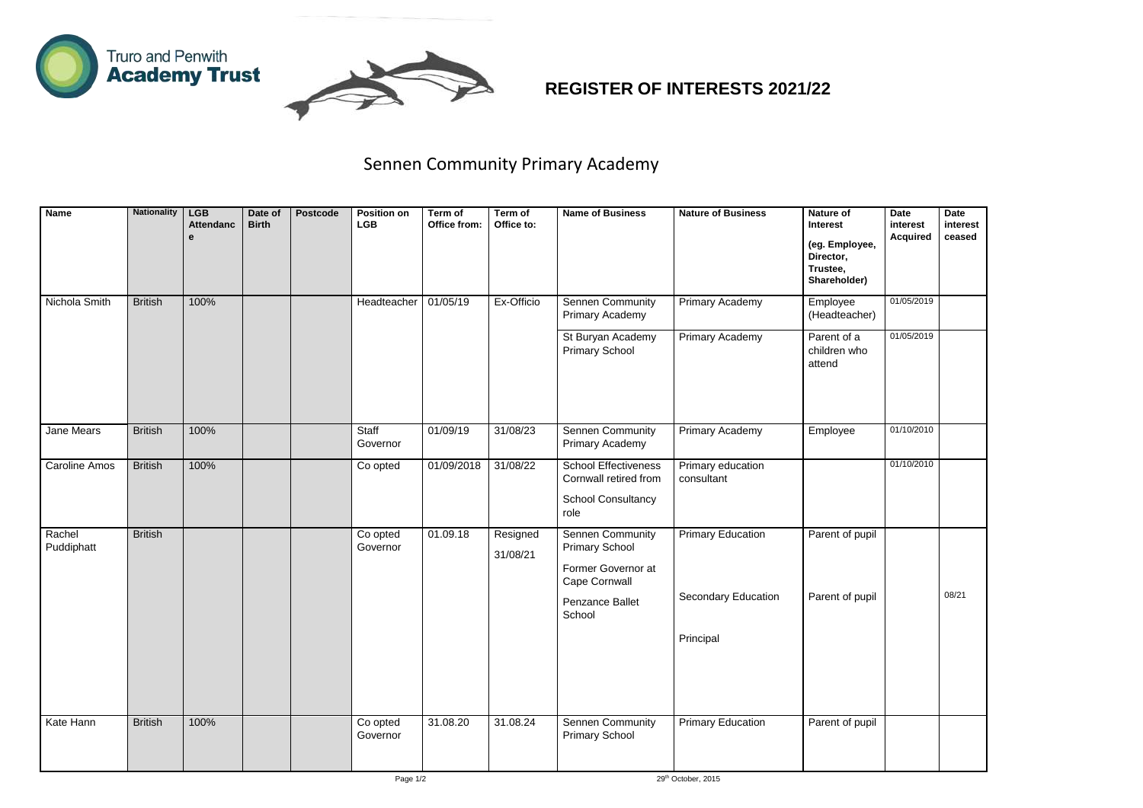



## **REGISTER OF INTERESTS 2021/22**

| <b>Name</b>          | <b>Nationality</b> | <b>LGB</b><br><b>Attendanc</b><br>e | Date of<br><b>Birth</b> | <b>Postcode</b> | <b>Position on</b><br><b>LGB</b> | Term of<br>Office from: | Term of<br>Office to: | <b>Name of Business</b>                                                                                           | <b>Nature of Business</b>                              | <b>Nature of</b><br><b>Interest</b><br>(eg. Employee,<br>Director,<br>Trustee,<br>Shareholder) | <b>Date</b><br>interest<br><b>Acquired</b> | <b>Date</b><br>interest<br>ceased |
|----------------------|--------------------|-------------------------------------|-------------------------|-----------------|----------------------------------|-------------------------|-----------------------|-------------------------------------------------------------------------------------------------------------------|--------------------------------------------------------|------------------------------------------------------------------------------------------------|--------------------------------------------|-----------------------------------|
| Nichola Smith        | <b>British</b>     | 100%                                |                         |                 | Headteacher                      | 01/05/19                | Ex-Officio            | <b>Sennen Community</b><br><b>Primary Academy</b>                                                                 | <b>Primary Academy</b>                                 | Employee<br>(Headteacher)                                                                      | 01/05/2019                                 |                                   |
|                      |                    |                                     |                         |                 |                                  |                         |                       | St Buryan Academy<br><b>Primary School</b>                                                                        | <b>Primary Academy</b>                                 | Parent of a<br>children who<br>attend                                                          | 01/05/2019                                 |                                   |
| Jane Mears           | <b>British</b>     | 100%                                |                         |                 | Staff<br>Governor                | 01/09/19                | 31/08/23              | <b>Sennen Community</b><br><b>Primary Academy</b>                                                                 | Primary Academy                                        | Employee                                                                                       | 01/10/2010                                 |                                   |
| <b>Caroline Amos</b> | <b>British</b>     | 100%                                |                         |                 | Co opted                         | 01/09/2018              | 31/08/22              | <b>School Effectiveness</b><br>Cornwall retired from<br><b>School Consultancy</b><br>role                         | Primary education<br>consultant                        |                                                                                                | 01/10/2010                                 |                                   |
| Rachel<br>Puddiphatt | <b>British</b>     |                                     |                         |                 | Co opted<br>Governor             | 01.09.18                | Resigned<br>31/08/21  | <b>Sennen Community</b><br><b>Primary School</b><br>Former Governor at<br>Cape Cornwall<br><b>Penzance Ballet</b> | <b>Primary Education</b><br><b>Secondary Education</b> | Parent of pupil<br>Parent of pupil                                                             |                                            | 08/21                             |
|                      |                    |                                     |                         |                 |                                  |                         |                       | School                                                                                                            | Principal                                              |                                                                                                |                                            |                                   |
| Kate Hann            | <b>British</b>     | 100%                                |                         |                 | Co opted<br>Governor             | 31.08.20                | 31.08.24              | Sennen Community<br><b>Primary School</b>                                                                         | <b>Primary Education</b>                               | Parent of pupil                                                                                |                                            |                                   |

## Sennen Community Primary Academy